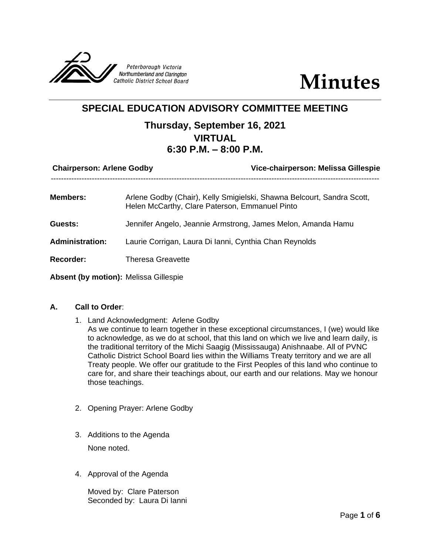



# **SPECIAL EDUCATION ADVISORY COMMITTEE MEETING**

## **Thursday, September 16, 2021 VIRTUAL 6:30 P.M. – 8:00 P.M.**

| <b>Chairperson: Arlene Godby</b>      | Vice-chairperson: Melissa Gillespie                                                                                      |
|---------------------------------------|--------------------------------------------------------------------------------------------------------------------------|
| <b>Members:</b>                       | Arlene Godby (Chair), Kelly Smigielski, Shawna Belcourt, Sandra Scott,<br>Helen McCarthy, Clare Paterson, Emmanuel Pinto |
| Guests:                               | Jennifer Angelo, Jeannie Armstrong, James Melon, Amanda Hamu                                                             |
| <b>Administration:</b>                | Laurie Corrigan, Laura Di Ianni, Cynthia Chan Reynolds                                                                   |
| Recorder:                             | <b>Theresa Greavette</b>                                                                                                 |
| Absent (by motion): Melissa Gillespie |                                                                                                                          |

## **A. Call to Order**:

- 1. Land Acknowledgment: Arlene Godby As we continue to learn together in these exceptional circumstances, I (we) would like to acknowledge, as we do at school, that this land on which we live and learn daily, is the traditional territory of the Michi Saagig (Mississauga) Anishnaabe. All of PVNC Catholic District School Board lies within the Williams Treaty territory and we are all Treaty people. We offer our gratitude to the First Peoples of this land who continue to care for, and share their teachings about, our earth and our relations. May we honour those teachings.
- 2. Opening Prayer: Arlene Godby
- 3. Additions to the Agenda None noted.
- 4. Approval of the Agenda

Moved by: Clare Paterson Seconded by: Laura Di Ianni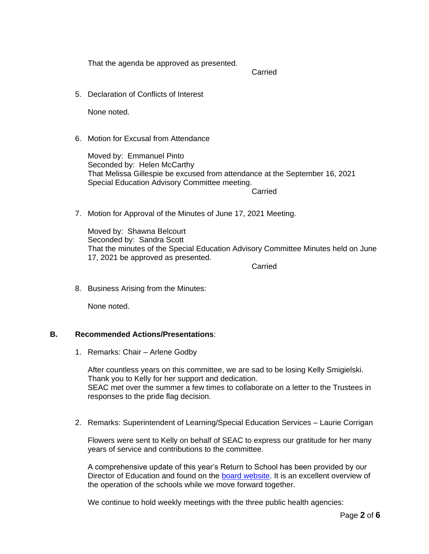That the agenda be approved as presented.

Carried

5. Declaration of Conflicts of Interest

None noted.

6. Motion for Excusal from Attendance

Moved by: Emmanuel Pinto Seconded by: Helen McCarthy That Melissa Gillespie be excused from attendance at the September 16, 2021 Special Education Advisory Committee meeting. Carried

7. Motion for Approval of the Minutes of June 17, 2021 Meeting.

Moved by: Shawna Belcourt Seconded by: Sandra Scott That the minutes of the Special Education Advisory Committee Minutes held on June 17, 2021 be approved as presented.

Carried

8. Business Arising from the Minutes:

None noted.

## **B. Recommended Actions/Presentations**:

1. Remarks: Chair – Arlene Godby

After countless years on this committee, we are sad to be losing Kelly Smigielski. Thank you to Kelly for her support and dedication. SEAC met over the summer a few times to collaborate on a letter to the Trustees in responses to the pride flag decision.

2. Remarks: Superintendent of Learning/Special Education Services – Laurie Corrigan

Flowers were sent to Kelly on behalf of SEAC to express our gratitude for her many years of service and contributions to the committee.

A comprehensive update of this year's Return to School has been provided by our Director of Education and found on the [board website.](https://docs.google.com/document/d/1hWNh4DXVd1yZq-_Ty4moqbevokZ1mTKmnNPR1sg03rA/view) It is an excellent overview of the operation of the schools while we move forward together.

We continue to hold weekly meetings with the three public health agencies: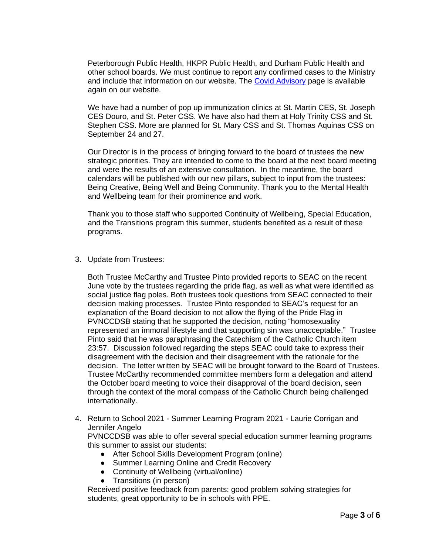Peterborough Public Health, HKPR Public Health, and Durham Public Health and other school boards. We must continue to report any confirmed cases to the Ministry and include that information on our website. The [Covid Advisory](https://www.pvnccdsb.on.ca/covid-19-advisory-page/) page is available again on our website.

We have had a number of pop up immunization clinics at St. Martin CES, St. Joseph CES Douro, and St. Peter CSS. We have also had them at Holy Trinity CSS and St. Stephen CSS. More are planned for St. Mary CSS and St. Thomas Aquinas CSS on September 24 and 27.

Our Director is in the process of bringing forward to the board of trustees the new strategic priorities. They are intended to come to the board at the next board meeting and were the results of an extensive consultation. In the meantime, the board calendars will be published with our new pillars, subject to input from the trustees: Being Creative, Being Well and Being Community. Thank you to the Mental Health and Wellbeing team for their prominence and work.

Thank you to those staff who supported Continuity of Wellbeing, Special Education, and the Transitions program this summer, students benefited as a result of these programs.

3. Update from Trustees:

Both Trustee McCarthy and Trustee Pinto provided reports to SEAC on the recent June vote by the trustees regarding the pride flag, as well as what were identified as social justice flag poles. Both trustees took questions from SEAC connected to their decision making processes. Trustee Pinto responded to SEAC's request for an explanation of the Board decision to not allow the flying of the Pride Flag in PVNCCDSB stating that he supported the decision, noting "homosexuality represented an immoral lifestyle and that supporting sin was unacceptable." Trustee Pinto said that he was paraphrasing the Catechism of the Catholic Church item 23:57. Discussion followed regarding the steps SEAC could take to express their disagreement with the decision and their disagreement with the rationale for the decision. The letter written by SEAC will be brought forward to the Board of Trustees. Trustee McCarthy recommended committee members form a delegation and attend the October board meeting to voice their disapproval of the board decision, seen through the context of the moral compass of the Catholic Church being challenged internationally.

4. Return to School 2021 - Summer Learning Program 2021 - Laurie Corrigan and Jennifer Angelo

PVNCCDSB was able to offer several special education summer learning programs this summer to assist our students:

- After School Skills Development Program (online)
- Summer Learning Online and Credit Recovery
- Continuity of Wellbeing (virtual/online)
- Transitions (in person)

Received positive feedback from parents: good problem solving strategies for students, great opportunity to be in schools with PPE.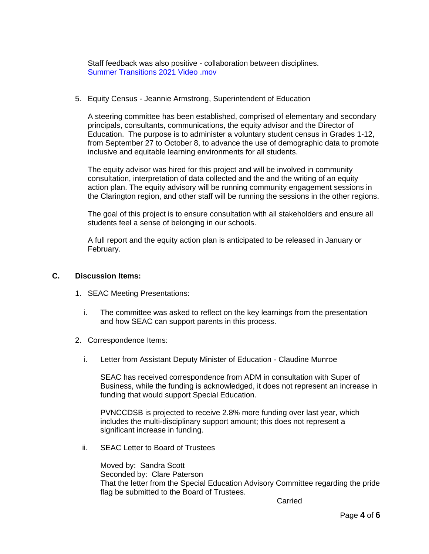Staff feedback was also positive - collaboration between disciplines. [Summer Transitions 2021 Video .mov](https://drive.google.com/file/d/1uckyGDETCmm75P9kLNAue9RdPw63EPgJ/view?usp=sharing)

## 5. Equity Census - Jeannie Armstrong, Superintendent of Education

A steering committee has been established, comprised of elementary and secondary principals, consultants, communications, the equity advisor and the Director of Education. The purpose is to administer a voluntary student census in Grades 1-12, from September 27 to October 8, to advance the use of demographic data to promote inclusive and equitable learning environments for all students.

The equity advisor was hired for this project and will be involved in community consultation, interpretation of data collected and the and the writing of an equity action plan. The equity advisory will be running community engagement sessions in the Clarington region, and other staff will be running the sessions in the other regions.

The goal of this project is to ensure consultation with all stakeholders and ensure all students feel a sense of belonging in our schools.

A full report and the equity action plan is anticipated to be released in January or February.

#### **C. Discussion Items:**

- 1. SEAC Meeting Presentations:
	- i. The committee was asked to reflect on the key learnings from the presentation and how SEAC can support parents in this process.
- 2. Correspondence Items:
	- i. Letter from Assistant Deputy Minister of Education Claudine Munroe

SEAC has received correspondence from ADM in consultation with Super of Business, while the funding is acknowledged, it does not represent an increase in funding that would support Special Education.

PVNCCDSB is projected to receive 2.8% more funding over last year, which includes the multi-disciplinary support amount; this does not represent a significant increase in funding.

ii. SEAC Letter to Board of Trustees

Moved by: Sandra Scott Seconded by: Clare Paterson That the letter from the Special Education Advisory Committee regarding the pride flag be submitted to the Board of Trustees.

Carried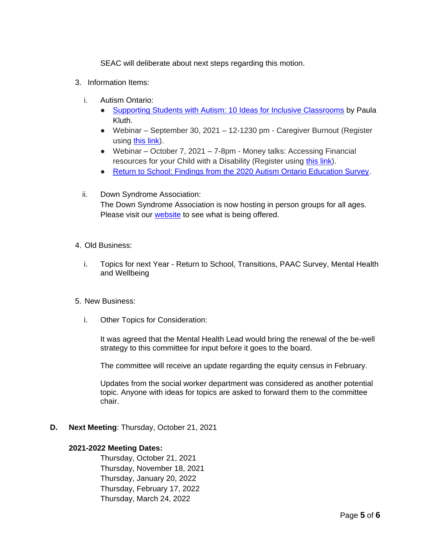SEAC will deliberate about next steps regarding this motion.

- 3. Information Items:
	- i. Autism Ontario:
		- [Supporting Students with Autism: 10 Ideas for Inclusive Classrooms](https://www.autismontario.com/news/supporting-students-autism-10-ideas-inclusive-classrooms) by Paula Kluth.
		- Webinar September 30, 2021 12-1230 pm Caregiver Burnout (Register using [this link\)](https://onlinexperiences.com/scripts/Server.nxp?LASCmd=AI:4;F:APIUTILS!51004&PageID=2FE0A0AF-8432-4126-A164-262CFA33D175).
		- Webinar October 7, 2021 7-8pm Money talks: Accessing Financial resources for your Child with a Disability (Register using [this link\)](https://www.autismontario.com/civicrm/event/register?id=6062&reset=1).
		- [Return to School: Findings from the 2020 Autism Ontario Education Survey.](https://www.autismontario.com/sites/default/files/2020-07/Autism%20Ontario%20Readiness%20for%20School%2030_7_20-1.pdf)
	- ii. Down Syndrome Association: The Down Syndrome Association is now hosting in person groups for all ages. Please visit our **website** to see what is being offered.
- 4. Old Business:
	- i. Topics for next Year Return to School, Transitions, PAAC Survey, Mental Health and Wellbeing
- 5. New Business:
	- i. Other Topics for Consideration:

It was agreed that the Mental Health Lead would bring the renewal of the be-well strategy to this committee for input before it goes to the board.

The committee will receive an update regarding the equity census in February.

Updates from the social worker department was considered as another potential topic. Anyone with ideas for topics are asked to forward them to the committee chair.

**D. Next Meeting**: Thursday, October 21, 2021

## **2021-2022 Meeting Dates:**

Thursday, October 21, 2021 Thursday, November 18, 2021 Thursday, January 20, 2022 Thursday, February 17, 2022 Thursday, March 24, 2022